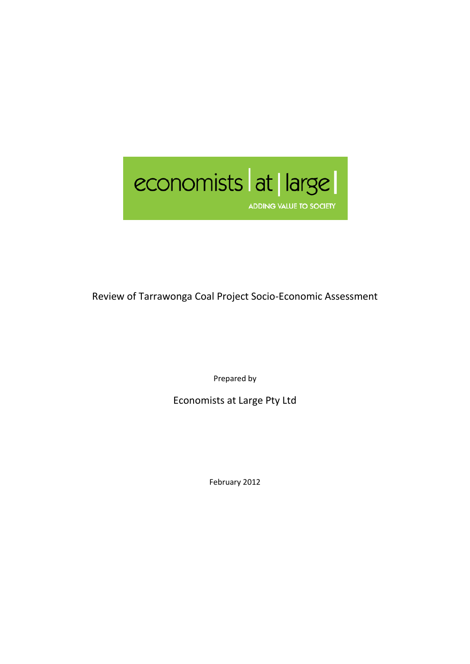

Review of Tarrawonga Coal Project Socio-Economic Assessment

Prepared by

Economists at Large Pty Ltd

February 2012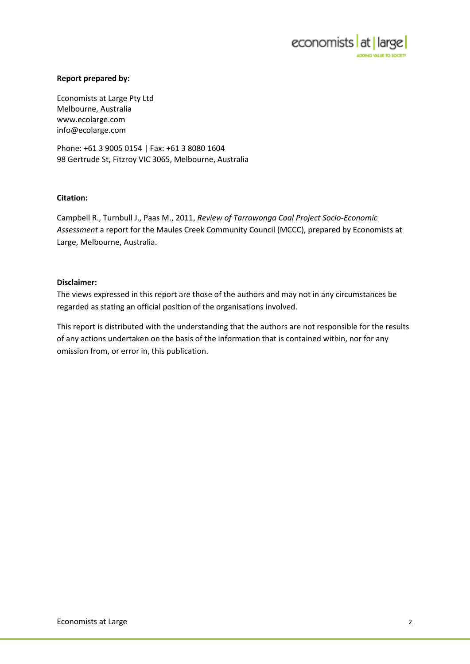

#### **Report prepared by:**

Economists at Large Pty Ltd Melbourne, Australia www.ecolarge.com info@ecolarge.com

Phone: +61 3 9005 0154 | Fax: +61 3 8080 1604 98 Gertrude St, Fitzroy VIC 3065, Melbourne, Australia

#### **Citation:**

Campbell R., Turnbull J., Paas M., 2011, *Review of Tarrawonga Coal Project Socio-Economic Assessment* a report for the Maules Creek Community Council (MCCC), prepared by Economists at Large, Melbourne, Australia.

#### **Disclaimer:**

The views expressed in this report are those of the authors and may not in any circumstances be regarded as stating an official position of the organisations involved.

This report is distributed with the understanding that the authors are not responsible for the results of any actions undertaken on the basis of the information that is contained within, nor for any omission from, or error in, this publication.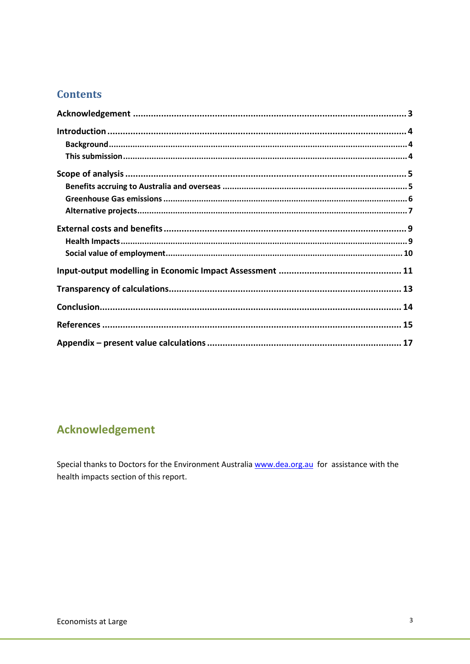### **Contents**

# <span id="page-2-0"></span>**Acknowledgement**

Special thanks to Doctors for the Environment Australia www.dea.org.au for assistance with the health impacts section of this report.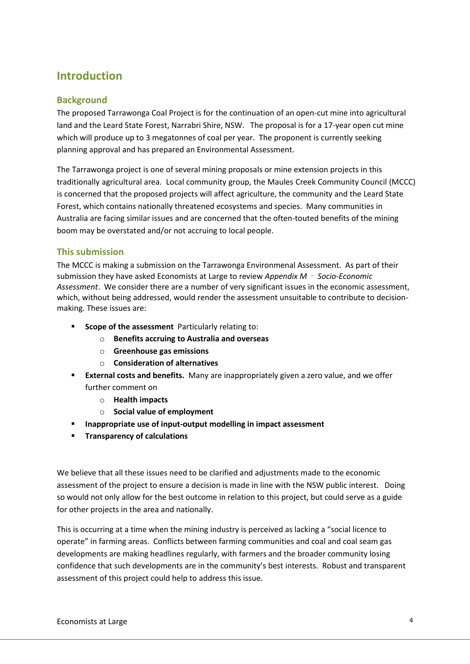## <span id="page-3-0"></span>**Introduction**

### <span id="page-3-1"></span>**Background**

The proposed Tarrawonga Coal Project is for the continuation of an open-cut mine into agricultural land and the Leard State Forest, Narrabri Shire, NSW. The proposal is for a 17-year open cut mine which will produce up to 3 megatonnes of coal per year. The proponent is currently seeking planning approval and has prepared an Environmental Assessment.

The Tarrawonga project is one of several mining proposals or mine extension projects in this traditionally agricultural area. Local community group, the Maules Creek Community Council (MCCC) is concerned that the proposed projects will affect agriculture, the community and the Leard State Forest, which contains nationally threatened ecosystems and species. Many communities in Australia are facing similar issues and are concerned that the often-touted benefits of the mining boom may be overstated and/or not accruing to local people.

#### <span id="page-3-2"></span>**This submission**

The MCCC is making a submission on the Tarrawonga Environmenal Assessment. As part of their submission they have asked Economists at Large to review *Appendix M*‐ *Socio-Economic Assessment*. We consider there are a number of very significant issues in the economic assessment, which, without being addressed, would render the assessment unsuitable to contribute to decisionmaking. These issues are:

- **Scope of the assessment** Particularly relating to:
	- o **Benefits accruing to Australia and overseas**
	- o **Greenhouse gas emissions**
	- o **Consideration of alternatives**
- **External costs and benefits.** Many are inappropriately given a zero value, and we offer further comment on
	- o **Health impacts**
	- o **Social value of employment**
- **Inappropriate use of input-output modelling in impact assessment**
- **Transparency of calculations**

We believe that all these issues need to be clarified and adjustments made to the economic assessment of the project to ensure a decision is made in line with the NSW public interest. Doing so would not only allow for the best outcome in relation to this project, but could serve as a guide for other projects in the area and nationally.

This is occurring at a time when the mining industry is perceived as lacking a "social licence to operate" in farming areas. Conflicts between farming communities and coal and coal seam gas developments are making headlines regularly, with farmers and the broader community losing confidence that such developments are in the community's best interests. Robust and transparent assessment of this project could help to address this issue.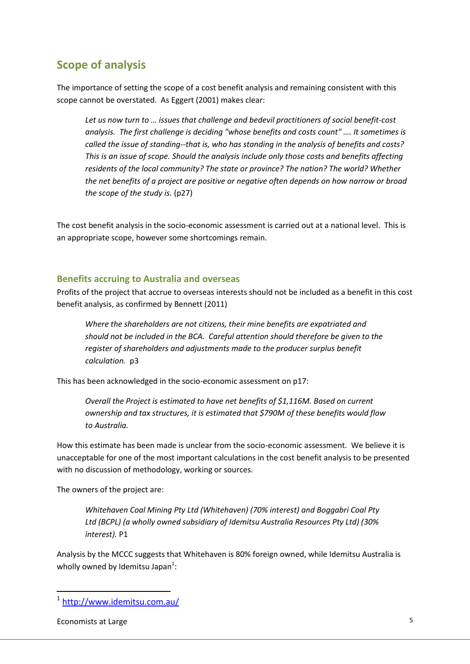### <span id="page-4-0"></span>**Scope of analysis**

The importance of setting the scope of a cost benefit analysis and remaining consistent with this scope cannot be overstated. As Eggert (2001) makes clear:

*Let us now turn to … issues that challenge and bedevil practitioners of social benefit-cost analysis. The first challenge is deciding "whose benefits and costs count" …. It sometimes is called the issue of standing--that is, who has standing in the analysis of benefits and costs? This is an issue of scope. Should the analysis include only those costs and benefits affecting residents of the local community? The state or province? The nation? The world? Whether the net benefits of a project are positive or negative often depends on how narrow or broad the scope of the study is.* (p27)

The cost benefit analysis in the socio-economic assessment is carried out at a national level. This is an appropriate scope, however some shortcomings remain.

#### <span id="page-4-1"></span>**Benefits accruing to Australia and overseas**

Profits of the project that accrue to overseas interests should not be included as a benefit in this cost benefit analysis, as confirmed by Bennett (2011)

*Where the shareholders are not citizens, their mine benefits are expatriated and should not be included in the BCA. Careful attention should therefore be given to the register of shareholders and adjustments made to the producer surplus benefit calculation.* p3

This has been acknowledged in the socio-economic assessment on p17:

*Overall the Project is estimated to have net benefits of \$1,116M. Based on current ownership and tax structures, it is estimated that \$790M of these benefits would flow to Australia.* 

How this estimate has been made is unclear from the socio-economic assessment. We believe it is unacceptable for one of the most important calculations in the cost benefit analysis to be presented with no discussion of methodology, working or sources.

The owners of the project are:

*Whitehaven Coal Mining Pty Ltd (Whitehaven) (70% interest) and Boggabri Coal Pty Ltd (BCPL) (a wholly owned subsidiary of Idemitsu Australia Resources Pty Ltd) (30% interest).* P1

Analysis by the MCCC suggests that Whitehaven is 80% foreign owned, while Idemitsu Australia is wholly owned by Idemitsu Japan<sup>1</sup>:

Economists at Large 5

1

<sup>1</sup> <http://www.idemitsu.com.au/>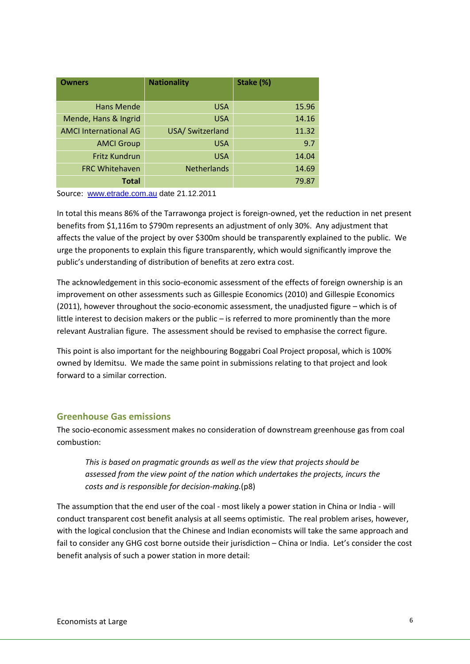| <b>Owners</b>                | <b>Nationality</b> | Stake (%) |
|------------------------------|--------------------|-----------|
|                              |                    |           |
| <b>Hans Mende</b>            | <b>USA</b>         | 15.96     |
| Mende, Hans & Ingrid         | <b>USA</b>         | 14.16     |
| <b>AMCI International AG</b> | USA/ Switzerland   | 11.32     |
| <b>AMCI Group</b>            | <b>USA</b>         | 9.7       |
| <b>Fritz Kundrun</b>         | <b>USA</b>         | 14.04     |
| <b>FRC Whitehaven</b>        | <b>Netherlands</b> | 14.69     |
| <b>Total</b>                 |                    | 79.87     |

Source: [www.etrade.com.au](http://www.etrade.com.au/) date 21.12.2011

In total this means 86% of the Tarrawonga project is foreign-owned, yet the reduction in net present benefits from \$1,116m to \$790m represents an adjustment of only 30%. Any adjustment that affects the value of the project by over \$300m should be transparently explained to the public. We urge the proponents to explain this figure transparently, which would significantly improve the public's understanding of distribution of benefits at zero extra cost.

The acknowledgement in this socio-economic assessment of the effects of foreign ownership is an improvement on other assessments such as Gillespie Economics (2010) and Gillespie Economics (2011), however throughout the socio-economic assessment, the unadjusted figure – which is of little interest to decision makers or the public – is referred to more prominently than the more relevant Australian figure. The assessment should be revised to emphasise the correct figure.

This point is also important for the neighbouring Boggabri Coal Project proposal, which is 100% owned by Idemitsu. We made the same point in submissions relating to that project and look forward to a similar correction.

#### <span id="page-5-0"></span>**Greenhouse Gas emissions**

The socio-economic assessment makes no consideration of downstream greenhouse gas from coal combustion:

*This is based on pragmatic grounds as well as the view that projects should be assessed from the view point of the nation which undertakes the projects, incurs the costs and is responsible for decision-making.*(p8)

The assumption that the end user of the coal - most likely a power station in China or India - will conduct transparent cost benefit analysis at all seems optimistic. The real problem arises, however, with the logical conclusion that the Chinese and Indian economists will take the same approach and fail to consider any GHG cost borne outside their jurisdiction – China or India. Let's consider the cost benefit analysis of such a power station in more detail: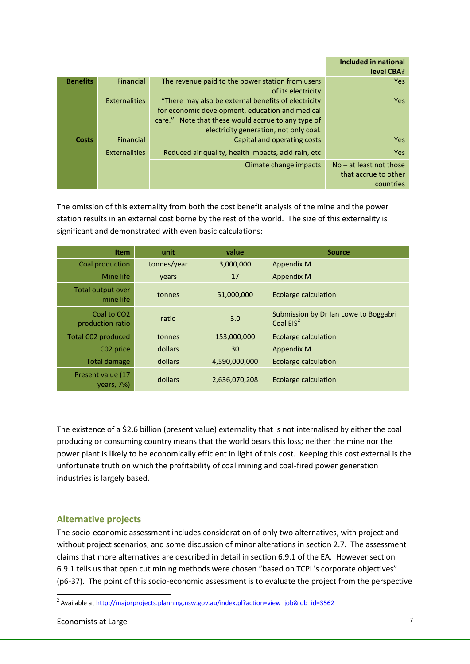|                 |                      |                                                                                                                                                                                                         | Included in national<br>level CBA?                             |
|-----------------|----------------------|---------------------------------------------------------------------------------------------------------------------------------------------------------------------------------------------------------|----------------------------------------------------------------|
| <b>Benefits</b> | Financial            | The revenue paid to the power station from users<br>of its electricity                                                                                                                                  | <b>Yes</b>                                                     |
|                 | <b>Externalities</b> | "There may also be external benefits of electricity"<br>for economic development, education and medical<br>care." Note that these would accrue to any type of<br>electricity generation, not only coal. | Yes.                                                           |
| <b>Costs</b>    | Financial            | Capital and operating costs                                                                                                                                                                             | Yes.                                                           |
|                 | Externalities        | Reduced air quality, health impacts, acid rain, etc.                                                                                                                                                    | <b>Yes</b>                                                     |
|                 |                      | Climate change impacts                                                                                                                                                                                  | $No - at least not those$<br>that accrue to other<br>countries |

The omission of this externality from both the cost benefit analysis of the mine and the power station results in an external cost borne by the rest of the world. The size of this externality is significant and demonstrated with even basic calculations:

| <b>Item</b>                                 | unit        | value         | <b>Source</b>                                                  |
|---------------------------------------------|-------------|---------------|----------------------------------------------------------------|
| Coal production                             | tonnes/year | 3,000,000     | Appendix M                                                     |
| Mine life                                   | years       | 17            | <b>Appendix M</b>                                              |
| Total output over<br>mine life              | tonnes      | 51,000,000    | <b>Ecolarge calculation</b>                                    |
| Coal to CO <sub>2</sub><br>production ratio | ratio       | 3.0           | Submission by Dr Ian Lowe to Boggabri<br>Coal EIS <sup>2</sup> |
| <b>Total C02 produced</b>                   | tonnes      | 153,000,000   | <b>Ecolarge calculation</b>                                    |
| C02 price                                   | dollars     | 30            | <b>Appendix M</b>                                              |
| <b>Total damage</b>                         | dollars     | 4,590,000,000 | <b>Ecolarge calculation</b>                                    |
| Present value (17<br>$years, 7\%)$          | dollars     | 2,636,070,208 | Ecolarge calculation                                           |

The existence of a \$2.6 billion (present value) externality that is not internalised by either the coal producing or consuming country means that the world bears this loss; neither the mine nor the power plant is likely to be economically efficient in light of this cost. Keeping this cost external is the unfortunate truth on which the profitability of coal mining and coal-fired power generation industries is largely based.

### <span id="page-6-0"></span>**Alternative projects**

The socio-economic assessment includes consideration of only two alternatives, with project and without project scenarios, and some discussion of minor alterations in section 2.7. The assessment claims that more alternatives are described in detail in section 6.9.1 of the EA. However section 6.9.1 tells us that open cut mining methods were chosen "based on TCPL's corporate objectives" (p6-37). The point of this socio-economic assessment is to evaluate the project from the perspective

**.** 

<sup>&</sup>lt;sup>2</sup> Available at [http://majorprojects.planning.nsw.gov.au/index.pl?action=view\\_job&job\\_id=3562](http://majorprojects.planning.nsw.gov.au/index.pl?action=view_job&job_id=3562)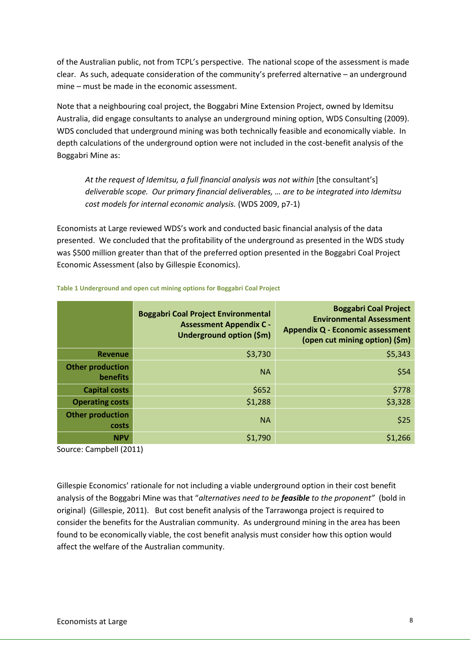of the Australian public, not from TCPL's perspective. The national scope of the assessment is made clear. As such, adequate consideration of the community's preferred alternative – an underground mine – must be made in the economic assessment.

Note that a neighbouring coal project, the Boggabri Mine Extension Project, owned by Idemitsu Australia, did engage consultants to analyse an underground mining option, WDS Consulting (2009). WDS concluded that underground mining was both technically feasible and economically viable. In depth calculations of the underground option were not included in the cost-benefit analysis of the Boggabri Mine as:

At the request of Idemitsu, a full financial analysis was not within [the consultant's] *deliverable scope. Our primary financial deliverables, … are to be integrated into Idemitsu cost models for internal economic analysis.* (WDS 2009, p7-1)

Economists at Large reviewed WDS's work and conducted basic financial analysis of the data presented. We concluded that the profitability of the underground as presented in the WDS study was \$500 million greater than that of the preferred option presented in the Boggabri Coal Project Economic Assessment (also by Gillespie Economics).

|                                     | <b>Boggabri Coal Project Environmental</b><br><b>Assessment Appendix C -</b><br>Underground option (\$m) | <b>Boggabri Coal Project</b><br><b>Environmental Assessment</b><br><b>Appendix Q - Economic assessment</b><br>(open cut mining option) (\$m) |
|-------------------------------------|----------------------------------------------------------------------------------------------------------|----------------------------------------------------------------------------------------------------------------------------------------------|
| <b>Revenue</b>                      | \$3,730                                                                                                  | \$5,343                                                                                                                                      |
| <b>Other production</b><br>benefits | <b>NA</b>                                                                                                | \$54                                                                                                                                         |
| <b>Capital costs</b>                | \$652                                                                                                    | \$778                                                                                                                                        |
| <b>Operating costs</b>              | \$1,288                                                                                                  | \$3,328                                                                                                                                      |
| <b>Other production</b><br>costs    | <b>NA</b>                                                                                                | \$25                                                                                                                                         |
| <b>NPV</b>                          | \$1,790                                                                                                  | \$1,266                                                                                                                                      |

**Table 1 Underground and open cut mining options for Boggabri Coal Project**

Source: Campbell (2011)

Gillespie Economics' rationale for not including a viable underground option in their cost benefit analysis of the Boggabri Mine was that "*alternatives need to be feasible to the proponent"* (bold in original) (Gillespie, 2011). But cost benefit analysis of the Tarrawonga project is required to consider the benefits for the Australian community. As underground mining in the area has been found to be economically viable, the cost benefit analysis must consider how this option would affect the welfare of the Australian community.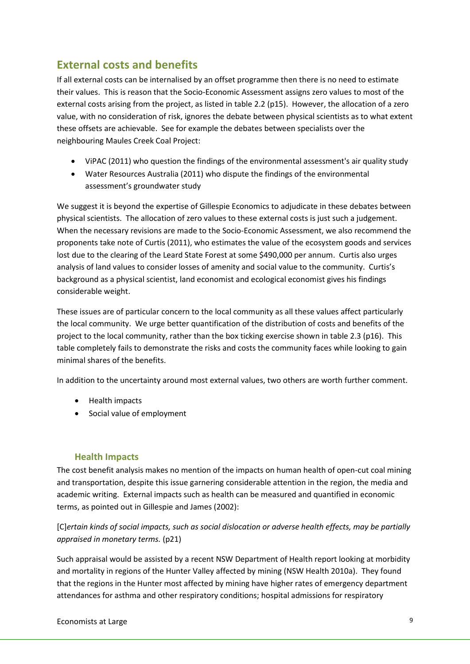## <span id="page-8-0"></span>**External costs and benefits**

If all external costs can be internalised by an offset programme then there is no need to estimate their values. This is reason that the Socio-Economic Assessment assigns zero values to most of the external costs arising from the project, as listed in table 2.2 (p15). However, the allocation of a zero value, with no consideration of risk, ignores the debate between physical scientists as to what extent these offsets are achievable. See for example the debates between specialists over the neighbouring Maules Creek Coal Project:

- ViPAC (2011) who question the findings of the environmental assessment's air quality study
- Water Resources Australia (2011) who dispute the findings of the environmental assessment's groundwater study

We suggest it is beyond the expertise of Gillespie Economics to adjudicate in these debates between physical scientists. The allocation of zero values to these external costs is just such a judgement. When the necessary revisions are made to the Socio-Economic Assessment, we also recommend the proponents take note of Curtis (2011), who estimates the value of the ecosystem goods and services lost due to the clearing of the Leard State Forest at some \$490,000 per annum. Curtis also urges analysis of land values to consider losses of amenity and social value to the community. Curtis's background as a physical scientist, land economist and ecological economist gives his findings considerable weight.

These issues are of particular concern to the local community as all these values affect particularly the local community. We urge better quantification of the distribution of costs and benefits of the project to the local community, rather than the box ticking exercise shown in table 2.3 (p16). This table completely fails to demonstrate the risks and costs the community faces while looking to gain minimal shares of the benefits.

In addition to the uncertainty around most external values, two others are worth further comment.

- Health impacts
- Social value of employment

#### <span id="page-8-1"></span>**Health Impacts**

The cost benefit analysis makes no mention of the impacts on human health of open-cut coal mining and transportation, despite this issue garnering considerable attention in the region, the media and academic writing. External impacts such as health can be measured and quantified in economic terms, as pointed out in Gillespie and James (2002):

### [C]*ertain kinds of social impacts, such as social dislocation or adverse health effects, may be partially appraised in monetary terms.* (p21)

Such appraisal would be assisted by a recent NSW Department of Health report looking at morbidity and mortality in regions of the Hunter Valley affected by mining (NSW Health 2010a). They found that the regions in the Hunter most affected by mining have higher rates of emergency department attendances for asthma and other respiratory conditions; hospital admissions for respiratory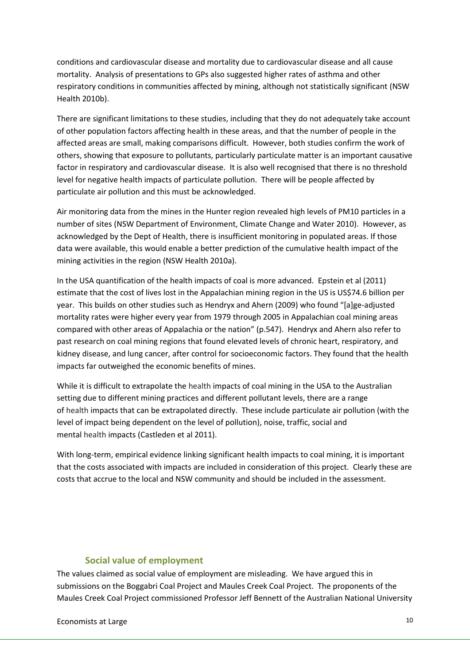conditions and cardiovascular disease and mortality due to cardiovascular disease and all cause mortality. Analysis of presentations to GPs also suggested higher rates of asthma and other respiratory conditions in communities affected by mining, although not statistically significant (NSW Health 2010b).

There are significant limitations to these studies, including that they do not adequately take account of other population factors affecting health in these areas, and that the number of people in the affected areas are small, making comparisons difficult. However, both studies confirm the work of others, showing that exposure to pollutants, particularly particulate matter is an important causative factor in respiratory and cardiovascular disease. It is also well recognised that there is no threshold level for negative health impacts of particulate pollution. There will be people affected by particulate air pollution and this must be acknowledged.

Air monitoring data from the mines in the Hunter region revealed high levels of PM10 particles in a number of sites (NSW Department of Environment, Climate Change and Water 2010). However, as acknowledged by the Dept of Health, there is insufficient monitoring in populated areas. If those data were available, this would enable a better prediction of the cumulative health impact of the mining activities in the region (NSW Health 2010a).

In the USA quantification of the health impacts of coal is more advanced. Epstein et al (2011) estimate that the cost of lives lost in the Appalachian mining region in the US is US\$74.6 billion per year. This builds on other studies such as Hendryx and Ahern (2009) who found "[a]ge-adjusted mortality rates were higher every year from 1979 through 2005 in Appalachian coal mining areas compared with other areas of Appalachia or the nation" (p.547). Hendryx and Ahern also refer to past research on coal mining regions that found elevated levels of chronic heart, respiratory, and kidney disease, and lung cancer, after control for socioeconomic factors. They found that the health impacts far outweighed the economic benefits of mines.

While it is difficult to extrapolate the health impacts of coal mining in the USA to the Australian setting due to different mining practices and different pollutant levels, there are a range of health impacts that can be extrapolated directly. These include particulate air pollution (with the level of impact being dependent on the level of pollution), noise, traffic, social and mental health impacts (Castleden et al 2011).

With long-term, empirical evidence linking significant health impacts to coal mining, it is important that the costs associated with impacts are included in consideration of this project. Clearly these are costs that accrue to the local and NSW community and should be included in the assessment.

#### **Social value of employment**

<span id="page-9-0"></span>The values claimed as social value of employment are misleading. We have argued this in submissions on the Boggabri Coal Project and Maules Creek Coal Project. The proponents of the Maules Creek Coal Project commissioned Professor Jeff Bennett of the Australian National University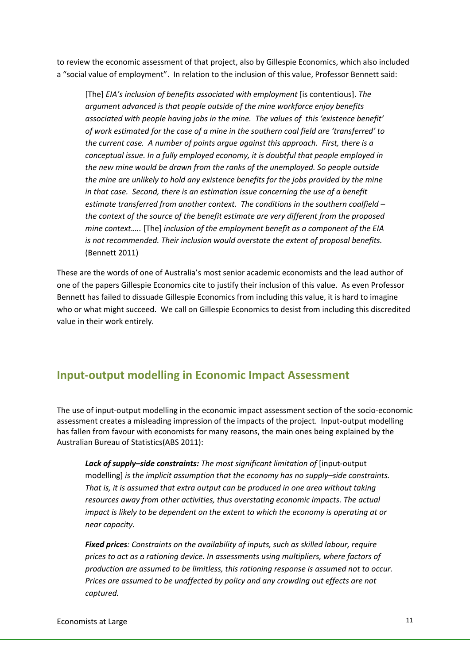to review the economic assessment of that project, also by Gillespie Economics, which also included a "social value of employment". In relation to the inclusion of this value, Professor Bennett said:

[The] *EIA's inclusion of benefits associated with employment* [is contentious]. *The argument advanced is that people outside of the mine workforce enjoy benefits associated with people having jobs in the mine. The values of this 'existence benefit' of work estimated for the case of a mine in the southern coal field are 'transferred' to the current case. A number of points argue against this approach. First, there is a conceptual issue. In a fully employed economy, it is doubtful that people employed in the new mine would be drawn from the ranks of the unemployed. So people outside the mine are unlikely to hold any existence benefits for the jobs provided by the mine in that case. Second, there is an estimation issue concerning the use of a benefit estimate transferred from another context. The conditions in the southern coalfield – the context of the source of the benefit estimate are very different from the proposed mine context…..* [The] *inclusion of the employment benefit as a component of the EIA is not recommended. Their inclusion would overstate the extent of proposal benefits.* (Bennett 2011)

These are the words of one of Australia's most senior academic economists and the lead author of one of the papers Gillespie Economics cite to justify their inclusion of this value. As even Professor Bennett has failed to dissuade Gillespie Economics from including this value, it is hard to imagine who or what might succeed. We call on Gillespie Economics to desist from including this discredited value in their work entirely.

### <span id="page-10-0"></span>**Input-output modelling in Economic Impact Assessment**

The use of input-output modelling in the economic impact assessment section of the socio-economic assessment creates a misleading impression of the impacts of the project. Input-output modelling has fallen from favour with economists for many reasons, the main ones being explained by the Australian Bureau of Statistics(ABS 2011):

*Lack of supply–side constraints: The most significant limitation of* [input-output modelling] *is the implicit assumption that the economy has no supply–side constraints. That is, it is assumed that extra output can be produced in one area without taking resources away from other activities, thus overstating economic impacts. The actual impact is likely to be dependent on the extent to which the economy is operating at or near capacity.*

*Fixed prices: Constraints on the availability of inputs, such as skilled labour, require prices to act as a rationing device. In assessments using multipliers, where factors of production are assumed to be limitless, this rationing response is assumed not to occur. Prices are assumed to be unaffected by policy and any crowding out effects are not captured.*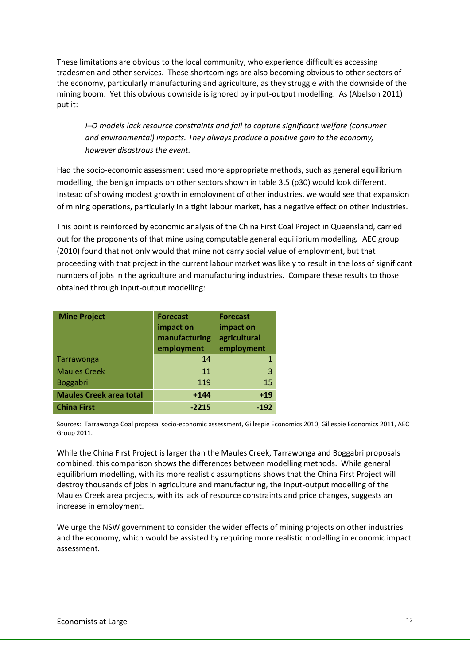These limitations are obvious to the local community, who experience difficulties accessing tradesmen and other services. These shortcomings are also becoming obvious to other sectors of the economy, particularly manufacturing and agriculture, as they struggle with the downside of the mining boom. Yet this obvious downside is ignored by input-output modelling. As (Abelson 2011) put it:

*I–O models lack resource constraints and fail to capture significant welfare (consumer and environmental) impacts. They always produce a positive gain to the economy, however disastrous the event.*

Had the socio-economic assessment used more appropriate methods, such as general equilibrium modelling, the benign impacts on other sectors shown in table 3.5 (p30) would look different. Instead of showing modest growth in employment of other industries, we would see that expansion of mining operations, particularly in a tight labour market, has a negative effect on other industries.

This point is reinforced by economic analysis of the China First Coal Project in Queensland, carried out for the proponents of that mine using computable general equilibrium modelling*.* AEC group (2010) found that not only would that mine not carry social value of employment, but that proceeding with that project in the current labour market was likely to result in the loss of significant numbers of jobs in the agriculture and manufacturing industries. Compare these results to those obtained through input-output modelling:

| <b>Mine Project</b>            | <b>Forecast</b><br>impact on<br>manufacturing<br>employment | <b>Forecast</b><br>impact on<br>agricultural<br>employment |
|--------------------------------|-------------------------------------------------------------|------------------------------------------------------------|
| Tarrawonga                     | 14                                                          |                                                            |
| <b>Maules Creek</b>            | 11                                                          | $\overline{3}$                                             |
| Boggabri                       | 119                                                         | 15                                                         |
| <b>Maules Creek area total</b> | $+144$                                                      | $+19$                                                      |
| <b>China First</b>             | $-2215$                                                     | $-192$                                                     |

Sources: Tarrawonga Coal proposal socio-economic assessment, Gillespie Economics 2010, Gillespie Economics 2011, AEC Group 2011.

While the China First Project is larger than the Maules Creek, Tarrawonga and Boggabri proposals combined, this comparison shows the differences between modelling methods. While general equilibrium modelling, with its more realistic assumptions shows that the China First Project will destroy thousands of jobs in agriculture and manufacturing, the input-output modelling of the Maules Creek area projects, with its lack of resource constraints and price changes, suggests an increase in employment.

We urge the NSW government to consider the wider effects of mining projects on other industries and the economy, which would be assisted by requiring more realistic modelling in economic impact assessment.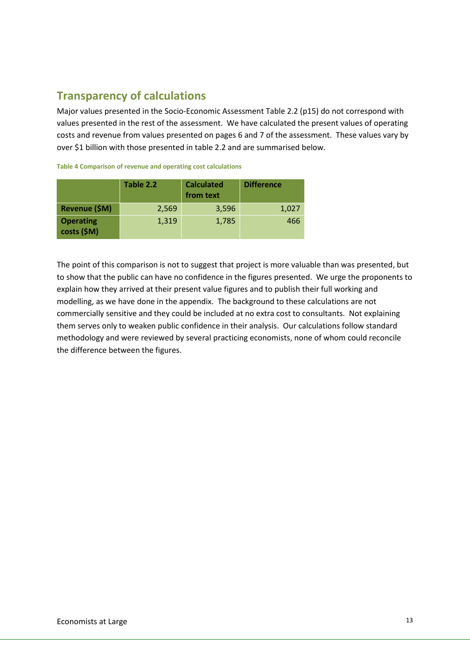# <span id="page-12-0"></span>**Transparency of calculations**

Major values presented in the Socio-Economic Assessment Table 2.2 (p15) do not correspond with values presented in the rest of the assessment. We have calculated the present values of operating costs and revenue from values presented on pages 6 and 7 of the assessment. These values vary by over \$1 billion with those presented in table 2.2 and are summarised below.

|                                 | Table 2.2 | <b>Calculated</b><br>from text | <b>Difference</b> |  |  |  |  |  |
|---------------------------------|-----------|--------------------------------|-------------------|--|--|--|--|--|
| Revenue (\$M)                   | 2,569     | 3,596                          | 1,027             |  |  |  |  |  |
| <b>Operating</b><br>costs (\$M) | 1,319     | 1,785                          | 466               |  |  |  |  |  |

**Table 4 Comparison of revenue and operating cost calculations**

The point of this comparison is not to suggest that project is more valuable than was presented, but to show that the public can have no confidence in the figures presented. We urge the proponents to explain how they arrived at their present value figures and to publish their full working and modelling, as we have done in the appendix. The background to these calculations are not commercially sensitive and they could be included at no extra cost to consultants. Not explaining them serves only to weaken public confidence in their analysis. Our calculations follow standard methodology and were reviewed by several practicing economists, none of whom could reconcile the difference between the figures.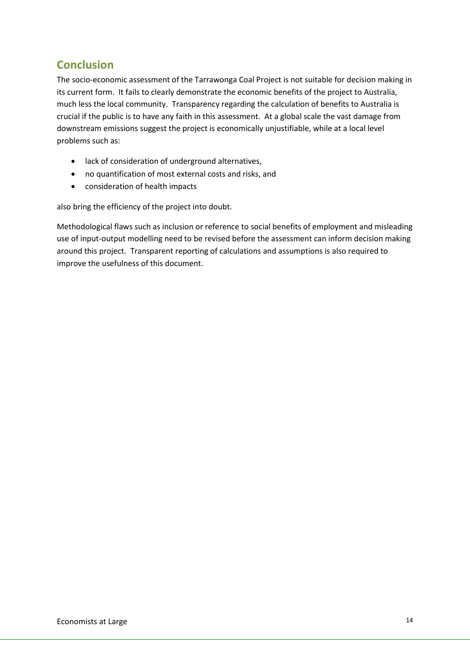## <span id="page-13-0"></span>**Conclusion**

The socio-economic assessment of the Tarrawonga Coal Project is not suitable for decision making in its current form. It fails to clearly demonstrate the economic benefits of the project to Australia, much less the local community. Transparency regarding the calculation of benefits to Australia is crucial if the public is to have any faith in this assessment. At a global scale the vast damage from downstream emissions suggest the project is economically unjustifiable, while at a local level problems such as:

- lack of consideration of underground alternatives,
- no quantification of most external costs and risks, and
- consideration of health impacts

also bring the efficiency of the project into doubt.

Methodological flaws such as inclusion or reference to social benefits of employment and misleading use of input-output modelling need to be revised before the assessment can inform decision making around this project. Transparent reporting of calculations and assumptions is also required to improve the usefulness of this document.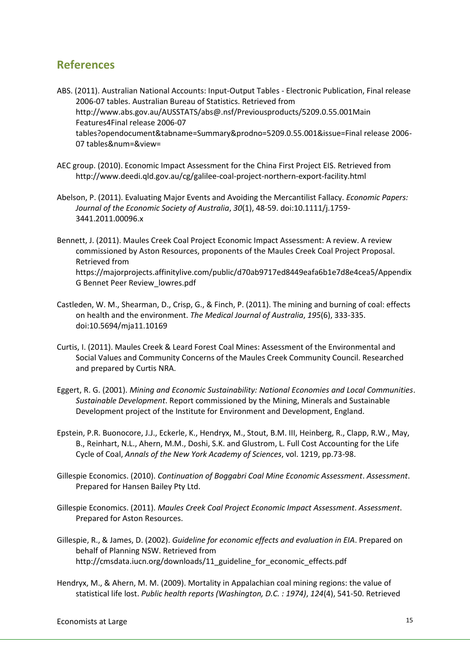### <span id="page-14-0"></span>**References**

ABS. (2011). Australian National Accounts: Input-Output Tables - Electronic Publication, Final release 2006-07 tables. Australian Bureau of Statistics. Retrieved from http://www.abs.gov.au/AUSSTATS/abs@.nsf/Previousproducts/5209.0.55.001Main Features4Final release 2006-07 tables?opendocument&tabname=Summary&prodno=5209.0.55.001&issue=Final release 2006- 07 tables&num=&view=

- AEC group. (2010). Economic Impact Assessment for the China First Project EIS. Retrieved from http://www.deedi.qld.gov.au/cg/galilee-coal-project-northern-export-facility.html
- Abelson, P. (2011). Evaluating Major Events and Avoiding the Mercantilist Fallacy. *Economic Papers: Journal of the Economic Society of Australia*, *30*(1), 48-59. doi:10.1111/j.1759- 3441.2011.00096.x

Bennett, J. (2011). Maules Creek Coal Project Economic Impact Assessment: A review. A review commissioned by Aston Resources, proponents of the Maules Creek Coal Project Proposal. Retrieved from https://majorprojects.affinitylive.com/public/d70ab9717ed8449eafa6b1e7d8e4cea5/Appendix G Bennet Peer Review\_lowres.pdf

- Castleden, W. M., Shearman, D., Crisp, G., & Finch, P. (2011). The mining and burning of coal: effects on health and the environment. *The Medical Journal of Australia*, *195*(6), 333-335. doi:10.5694/mja11.10169
- Curtis, I. (2011). Maules Creek & Leard Forest Coal Mines: Assessment of the Environmental and Social Values and Community Concerns of the Maules Creek Community Council. Researched and prepared by Curtis NRA.
- Eggert, R. G. (2001). *Mining and Economic Sustainability: National Economies and Local Communities*. *Sustainable Development*. Report commissioned by the Mining, Minerals and Sustainable Development project of the Institute for Environment and Development, England.
- Epstein, P.R. Buonocore, J.J., Eckerle, K., Hendryx, M., Stout, B.M. III, Heinberg, R., Clapp, R.W., May, B., Reinhart, N.L., Ahern, M.M., Doshi, S.K. and Glustrom, L. Full Cost Accounting for the Life Cycle of Coal, *Annals of the New York Academy of Sciences*, vol. 1219, pp.73-98.
- Gillespie Economics. (2010). *Continuation of Boggabri Coal Mine Economic Assessment*. *Assessment*. Prepared for Hansen Bailey Pty Ltd.
- Gillespie Economics. (2011). *Maules Creek Coal Project Economic Impact Assessment*. *Assessment*. Prepared for Aston Resources.
- Gillespie, R., & James, D. (2002). *Guideline for economic effects and evaluation in EIA*. Prepared on behalf of Planning NSW. Retrieved from http://cmsdata.iucn.org/downloads/11\_guideline\_for\_economic\_effects.pdf
- Hendryx, M., & Ahern, M. M. (2009). Mortality in Appalachian coal mining regions: the value of statistical life lost. *Public health reports (Washington, D.C. : 1974)*, *124*(4), 541-50. Retrieved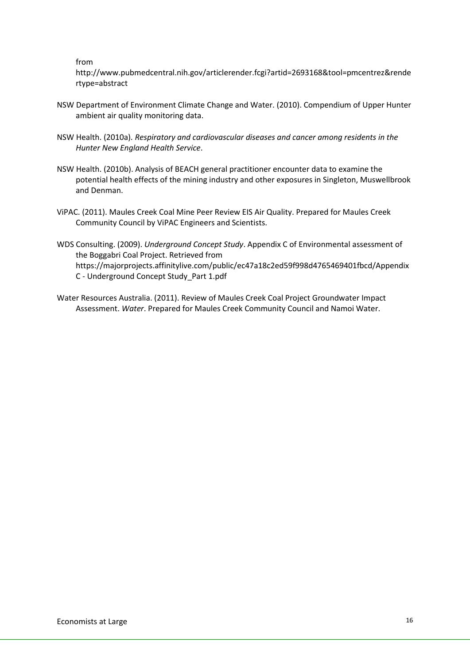from

http://www.pubmedcentral.nih.gov/articlerender.fcgi?artid=2693168&tool=pmcentrez&rende rtype=abstract

- NSW Department of Environment Climate Change and Water. (2010). Compendium of Upper Hunter ambient air quality monitoring data.
- NSW Health. (2010a). *Respiratory and cardiovascular diseases and cancer among residents in the Hunter New England Health Service*.
- NSW Health. (2010b). Analysis of BEACH general practitioner encounter data to examine the potential health effects of the mining industry and other exposures in Singleton, Muswellbrook and Denman.
- ViPAC. (2011). Maules Creek Coal Mine Peer Review EIS Air Quality. Prepared for Maules Creek Community Council by ViPAC Engineers and Scientists.
- WDS Consulting. (2009). *Underground Concept Study*. Appendix C of Environmental assessment of the Boggabri Coal Project. Retrieved from https://majorprojects.affinitylive.com/public/ec47a18c2ed59f998d4765469401fbcd/Appendix C - Underground Concept Study\_Part 1.pdf
- Water Resources Australia. (2011). Review of Maules Creek Coal Project Groundwater Impact Assessment. *Water*. Prepared for Maules Creek Community Council and Namoi Water.